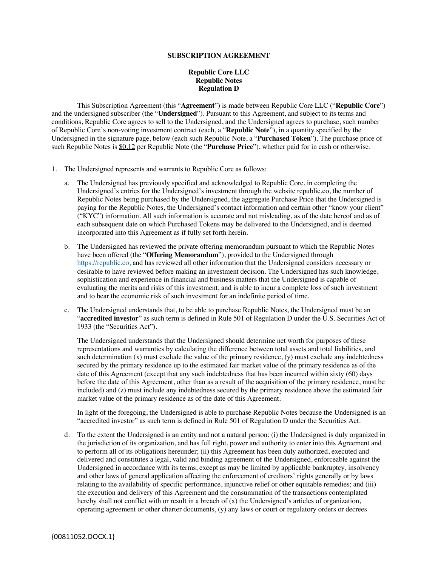## **SUBSCRIPTION AGREEMENT**

## **Republic Core LLC Republic Notes Regulation D**

This Subscription Agreement (this "**Agreement**") is made between Republic Core LLC ("**Republic Core**") and the undersigned subscriber (the "**Undersigned**"). Pursuant to this Agreement, and subject to its terms and conditions, Republic Core agrees to sell to the Undersigned, and the Undersigned agrees to purchase, such number of Republic Core's non-voting investment contract (each, a "**Republic Note**"), in a quantity specified by the Undersigned in the signature page, below (each such Republic Note, a "**Purchased Token**"). The purchase price of such Republic Notes is \$0.12 per Republic Note (the "**Purchase Price**"), whether paid for in cash or otherwise.

- 1. The Undersigned represents and warrants to Republic Core as follows:
	- a. The Undersigned has previously specified and acknowledged to Republic Core, in completing the Undersigned's entries for the Undersigned's investment through the website republic.co, the number of Republic Notes being purchased by the Undersigned, the aggregate Purchase Price that the Undersigned is paying for the Republic Notes, the Undersigned's contact information and certain other "know your client" ("KYC") information. All such information is accurate and not misleading, as of the date hereof and as of each subsequent date on which Purchased Tokens may be delivered to the Undersigned, and is deemed incorporated into this Agreement as if fully set forth herein.
	- b. The Undersigned has reviewed the private offering memorandum pursuant to which the Republic Notes have been offered (the "**Offering Memorandum**"), provided to the Undersigned through https://republic.co, and has reviewed all other information that the Undersigned considers necessary or desirable to have reviewed before making an investment decision. The Undersigned has such knowledge, sophistication and experience in financial and business matters that the Undersigned is capable of evaluating the merits and risks of this investment, and is able to incur a complete loss of such investment and to bear the economic risk of such investment for an indefinite period of time.
	- c. The Undersigned understands that, to be able to purchase Republic Notes, the Undersigned must be an "**accredited investor**" as such term is defined in Rule 501 of Regulation D under the U.S. Securities Act of 1933 (the "Securities Act").

The Undersigned understands that the Undersigned should determine net worth for purposes of these representations and warranties by calculating the difference between total assets and total liabilities, and such determination  $(x)$  must exclude the value of the primary residence,  $(y)$  must exclude any indebtedness secured by the primary residence up to the estimated fair market value of the primary residence as of the date of this Agreement (except that any such indebtedness that has been incurred within sixty (60) days before the date of this Agreement, other than as a result of the acquisition of the primary residence, must be included) and (z) must include any indebtedness secured by the primary residence above the estimated fair market value of the primary residence as of the date of this Agreement.

In light of the foregoing, the Undersigned is able to purchase Republic Notes because the Undersigned is an "accredited investor" as such term is defined in Rule 501 of Regulation D under the Securities Act.

d. To the extent the Undersigned is an entity and not a natural person: (i) the Undersigned is duly organized in the jurisdiction of its organization, and has full right, power and authority to enter into this Agreement and to perform all of its obligations hereunder; (ii) this Agreement has been duly authorized, executed and delivered and constitutes a legal, valid and binding agreement of the Undersigned, enforceable against the Undersigned in accordance with its terms, except as may be limited by applicable bankruptcy, insolvency and other laws of general application affecting the enforcement of creditors' rights generally or by laws relating to the availability of specific performance, injunctive relief or other equitable remedies; and (iii) the execution and delivery of this Agreement and the consummation of the transactions contemplated hereby shall not conflict with or result in a breach of  $(x)$  the Undersigned's articles of organization, operating agreement or other charter documents, (y) any laws or court or regulatory orders or decrees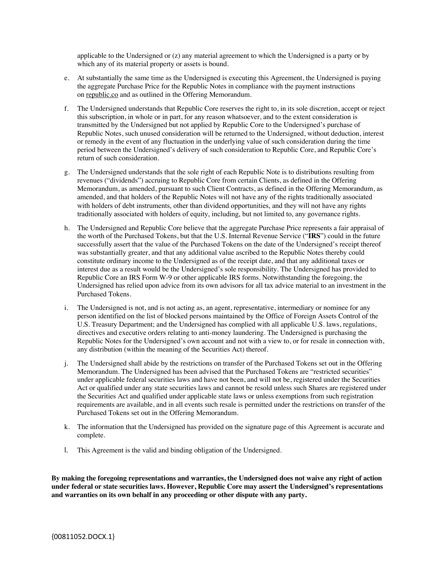applicable to the Undersigned or (z) any material agreement to which the Undersigned is a party or by which any of its material property or assets is bound.

- e. At substantially the same time as the Undersigned is executing this Agreement, the Undersigned is paying the aggregate Purchase Price for the Republic Notes in compliance with the payment instructions on republic.co and as outlined in the Offering Memorandum.
- f. The Undersigned understands that Republic Core reserves the right to, in its sole discretion, accept or reject this subscription, in whole or in part, for any reason whatsoever, and to the extent consideration is transmitted by the Undersigned but not applied by Republic Core to the Undersigned's purchase of Republic Notes, such unused consideration will be returned to the Undersigned, without deduction, interest or remedy in the event of any fluctuation in the underlying value of such consideration during the time period between the Undersigned's delivery of such consideration to Republic Core, and Republic Core's return of such consideration.
- g. The Undersigned understands that the sole right of each Republic Note is to distributions resulting from revenues ("dividends") accruing to Republic Core from certain Clients, as defined in the Offering Memorandum, as amended, pursuant to such Client Contracts, as defined in the Offering Memorandum, as amended, and that holders of the Republic Notes will not have any of the rights traditionally associated with holders of debt instruments, other than dividend opportunities, and they will not have any rights traditionally associated with holders of equity, including, but not limited to, any governance rights.
- h. The Undersigned and Republic Core believe that the aggregate Purchase Price represents a fair appraisal of the worth of the Purchased Tokens, but that the U.S. Internal Revenue Service ("**IRS**") could in the future successfully assert that the value of the Purchased Tokens on the date of the Undersigned's receipt thereof was substantially greater, and that any additional value ascribed to the Republic Notes thereby could constitute ordinary income to the Undersigned as of the receipt date, and that any additional taxes or interest due as a result would be the Undersigned's sole responsibility. The Undersigned has provided to Republic Core an IRS Form W-9 or other applicable IRS forms. Notwithstanding the foregoing, the Undersigned has relied upon advice from its own advisors for all tax advice material to an investment in the Purchased Tokens.
- i. The Undersigned is not, and is not acting as, an agent, representative, intermediary or nominee for any person identified on the list of blocked persons maintained by the Office of Foreign Assets Control of the U.S. Treasury Department; and the Undersigned has complied with all applicable U.S. laws, regulations, directives and executive orders relating to anti-money laundering. The Undersigned is purchasing the Republic Notes for the Undersigned's own account and not with a view to, or for resale in connection with, any distribution (within the meaning of the Securities Act) thereof.
- j. The Undersigned shall abide by the restrictions on transfer of the Purchased Tokens set out in the Offering Memorandum. The Undersigned has been advised that the Purchased Tokens are "restricted securities" under applicable federal securities laws and have not been, and will not be, registered under the Securities Act or qualified under any state securities laws and cannot be resold unless such Shares are registered under the Securities Act and qualified under applicable state laws or unless exemptions from such registration requirements are available, and in all events such resale is permitted under the restrictions on transfer of the Purchased Tokens set out in the Offering Memorandum.
- k. The information that the Undersigned has provided on the signature page of this Agreement is accurate and complete.
- l. This Agreement is the valid and binding obligation of the Undersigned.

**By making the foregoing representations and warranties, the Undersigned does not waive any right of action under federal or state securities laws. However, Republic Core may assert the Undersigned's representations and warranties on its own behalf in any proceeding or other dispute with any party.**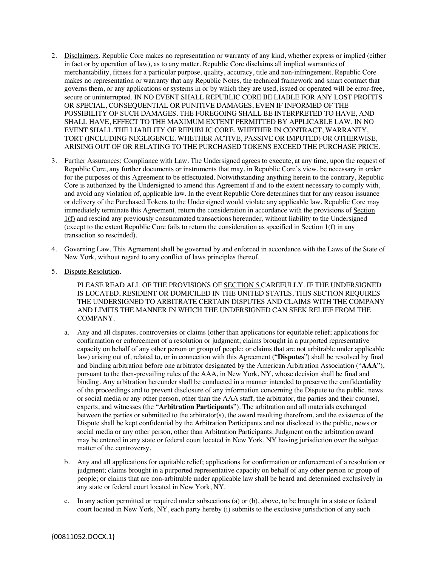- 2. Disclaimers. Republic Core makes no representation or warranty of any kind, whether express or implied (either in fact or by operation of law), as to any matter. Republic Core disclaims all implied warranties of merchantability, fitness for a particular purpose, quality, accuracy, title and non-infringement. Republic Core makes no representation or warranty that any Republic Notes, the technical framework and smart contract that governs them, or any applications or systems in or by which they are used, issued or operated will be error-free, secure or uninterrupted. IN NO EVENT SHALL REPUBLIC CORE BE LIABLE FOR ANY LOST PROFITS OR SPECIAL, CONSEQUENTIAL OR PUNITIVE DAMAGES, EVEN IF INFORMED OF THE POSSIBILITY OF SUCH DAMAGES. THE FOREGOING SHALL BE INTERPRETED TO HAVE, AND SHALL HAVE, EFFECT TO THE MAXIMUM EXTENT PERMITTED BY APPLICABLE LAW. IN NO EVENT SHALL THE LIABILITY OF REPUBLIC CORE, WHETHER IN CONTRACT, WARRANTY, TORT (INCLUDING NEGLIGENCE, WHETHER ACTIVE, PASSIVE OR IMPUTED) OR OTHERWISE, ARISING OUT OF OR RELATING TO THE PURCHASED TOKENS EXCEED THE PURCHASE PRICE.
- 3. Further Assurances; Compliance with Law. The Undersigned agrees to execute, at any time, upon the request of Republic Core, any further documents or instruments that may, in Republic Core's view, be necessary in order for the purposes of this Agreement to be effectuated. Notwithstanding anything herein to the contrary, Republic Core is authorized by the Undersigned to amend this Agreement if and to the extent necessary to comply with, and avoid any violation of, applicable law. In the event Republic Core determines that for any reason issuance or delivery of the Purchased Tokens to the Undersigned would violate any applicable law, Republic Core may immediately terminate this Agreement, return the consideration in accordance with the provisions of Section 1(f) and rescind any previously consummated transactions hereunder, without liability to the Undersigned (except to the extent Republic Core fails to return the consideration as specified in Section  $1(f)$  in any transaction so rescinded).
- 4. Governing Law. This Agreement shall be governed by and enforced in accordance with the Laws of the State of New York, without regard to any conflict of laws principles thereof.
- 5. Dispute Resolution.

PLEASE READ ALL OF THE PROVISIONS OF SECTION 5 CAREFULLY. IF THE UNDERSIGNED IS LOCATED, RESIDENT OR DOMICILED IN THE UNITED STATES, THIS SECTION REQUIRES THE UNDERSIGNED TO ARBITRATE CERTAIN DISPUTES AND CLAIMS WITH THE COMPANY AND LIMITS THE MANNER IN WHICH THE UNDERSIGNED CAN SEEK RELIEF FROM THE COMPANY.

- a. Any and all disputes, controversies or claims (other than applications for equitable relief; applications for confirmation or enforcement of a resolution or judgment; claims brought in a purported representative capacity on behalf of any other person or group of people; or claims that are not arbitrable under applicable law) arising out of, related to, or in connection with this Agreement ("**Disputes**") shall be resolved by final and binding arbitration before one arbitrator designated by the American Arbitration Association ("**AAA**"), pursuant to the then-prevailing rules of the AAA, in New York, NY, whose decision shall be final and binding. Any arbitration hereunder shall be conducted in a manner intended to preserve the confidentiality of the proceedings and to prevent disclosure of any information concerning the Dispute to the public, news or social media or any other person, other than the AAA staff, the arbitrator, the parties and their counsel, experts, and witnesses (the "**Arbitration Participants**"). The arbitration and all materials exchanged between the parties or submitted to the arbitrator(s), the award resulting therefrom, and the existence of the Dispute shall be kept confidential by the Arbitration Participants and not disclosed to the public, news or social media or any other person, other than Arbitration Participants. Judgment on the arbitration award may be entered in any state or federal court located in New York, NY having jurisdiction over the subject matter of the controversy.
- b. Any and all applications for equitable relief; applications for confirmation or enforcement of a resolution or judgment; claims brought in a purported representative capacity on behalf of any other person or group of people; or claims that are non-arbitrable under applicable law shall be heard and determined exclusively in any state or federal court located in New York, NY.
- c. In any action permitted or required under subsections (a) or (b), above, to be brought in a state or federal court located in New York, NY, each party hereby (i) submits to the exclusive jurisdiction of any such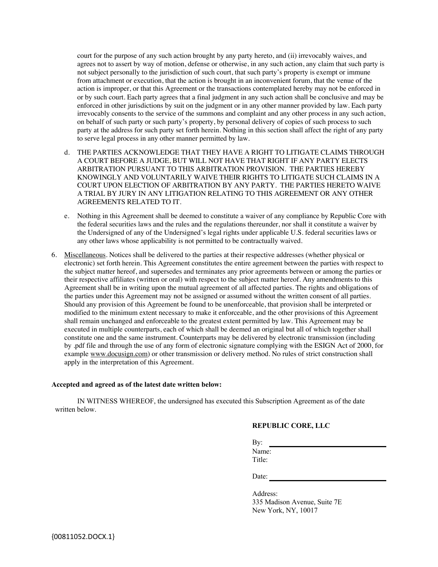court for the purpose of any such action brought by any party hereto, and (ii) irrevocably waives, and agrees not to assert by way of motion, defense or otherwise, in any such action, any claim that such party is not subject personally to the jurisdiction of such court, that such party's property is exempt or immune from attachment or execution, that the action is brought in an inconvenient forum, that the venue of the action is improper, or that this Agreement or the transactions contemplated hereby may not be enforced in or by such court. Each party agrees that a final judgment in any such action shall be conclusive and may be enforced in other jurisdictions by suit on the judgment or in any other manner provided by law. Each party irrevocably consents to the service of the summons and complaint and any other process in any such action, on behalf of such party or such party's property, by personal delivery of copies of such process to such party at the address for such party set forth herein. Nothing in this section shall affect the right of any party to serve legal process in any other manner permitted by law.

- d. THE PARTIES ACKNOWLEDGE THAT THEY HAVE A RIGHT TO LITIGATE CLAIMS THROUGH A COURT BEFORE A JUDGE, BUT WILL NOT HAVE THAT RIGHT IF ANY PARTY ELECTS ARBITRATION PURSUANT TO THIS ARBITRATION PROVISION. THE PARTIES HEREBY KNOWINGLY AND VOLUNTARILY WAIVE THEIR RIGHTS TO LITIGATE SUCH CLAIMS IN A COURT UPON ELECTION OF ARBITRATION BY ANY PARTY. THE PARTIES HERETO WAIVE A TRIAL BY JURY IN ANY LITIGATION RELATING TO THIS AGREEMENT OR ANY OTHER AGREEMENTS RELATED TO IT.
- e. Nothing in this Agreement shall be deemed to constitute a waiver of any compliance by Republic Core with the federal securities laws and the rules and the regulations thereunder, nor shall it constitute a waiver by the Undersigned of any of the Undersigned's legal rights under applicable U.S. federal securities laws or any other laws whose applicability is not permitted to be contractually waived.
- 6. Miscellaneous. Notices shall be delivered to the parties at their respective addresses (whether physical or electronic) set forth herein. This Agreement constitutes the entire agreement between the parties with respect to the subject matter hereof, and supersedes and terminates any prior agreements between or among the parties or their respective affiliates (written or oral) with respect to the subject matter hereof. Any amendments to this Agreement shall be in writing upon the mutual agreement of all affected parties. The rights and obligations of the parties under this Agreement may not be assigned or assumed without the written consent of all parties. Should any provision of this Agreement be found to be unenforceable, that provision shall be interpreted or modified to the minimum extent necessary to make it enforceable, and the other provisions of this Agreement shall remain unchanged and enforceable to the greatest extent permitted by law. This Agreement may be executed in multiple counterparts, each of which shall be deemed an original but all of which together shall constitute one and the same instrument. Counterparts may be delivered by electronic transmission (including by .pdf file and through the use of any form of electronic signature complying with the ESIGN Act of 2000, for example www.docusign.com) or other transmission or delivery method. No rules of strict construction shall apply in the interpretation of this Agreement.

## **Accepted and agreed as of the latest date written below:**

IN WITNESS WHEREOF, the undersigned has executed this Subscription Agreement as of the date written below.

## **REPUBLIC CORE, LLC**

By:

Name: Title:

Date:

Address: 335 Madison Avenue, Suite 7E New York, NY, 10017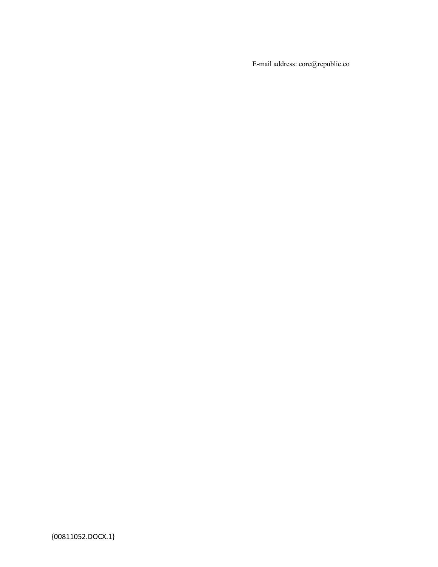E-mail address: core@republic.co